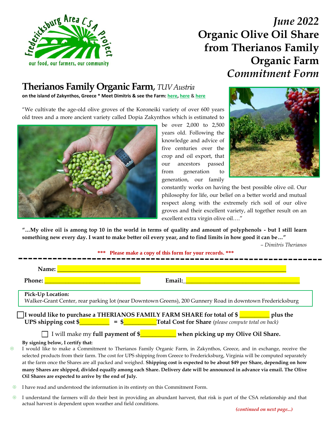

# *June 2022* **Organic Olive Oil Share from Therianos Family Organic Farm** *Commitment Form*

## **Therianos Family Organic Farm**, *TUV Austria*

**on the island of Zakynthos, Greece \* Meet Dimitris & see the Farm: [here,](https://spark.adobe.com/page/l5mW1yE2idu6Y/) [here](https://youtu.be/0Wq06_r0SHo)** & **[here](https://www.therianosfamily.com/)**

"We cultivate the age-old olive groves of the Koroneiki variety of over 600 years old trees and a more ancient variety called Dopia Zakynthos which is estimated to



be over 2,000 to 2,500 years old. Following the knowledge and advice of five centuries over the crop and oil export, that our ancestors passed from generation to generation, our family



constantly works on having the best possible olive oil. Our philosophy for life, our belief on a better world and mutual respect along with the extremely rich soil of our olive groves and their excellent variety, all together result on an excellent extra virgin olive oil…."

**"…My olive oil is among top 10 in the world in terms of quality and amount of polyphenols - but I still learn something new every day. I want to make better oil every year, and to find limits in how good it can be…"** 

*– Dimitris Therianos*

|                                                                                                                                                                                                                                       | *** Please make a copy of this form for your records. ***                                                                                                                                                                                                                                                                                                                                                                                                                                                                                                                                                                                                                                                    |  |  |  |  |  |
|---------------------------------------------------------------------------------------------------------------------------------------------------------------------------------------------------------------------------------------|--------------------------------------------------------------------------------------------------------------------------------------------------------------------------------------------------------------------------------------------------------------------------------------------------------------------------------------------------------------------------------------------------------------------------------------------------------------------------------------------------------------------------------------------------------------------------------------------------------------------------------------------------------------------------------------------------------------|--|--|--|--|--|
|                                                                                                                                                                                                                                       | Name:                                                                                                                                                                                                                                                                                                                                                                                                                                                                                                                                                                                                                                                                                                        |  |  |  |  |  |
| Phone:                                                                                                                                                                                                                                | Email:                                                                                                                                                                                                                                                                                                                                                                                                                                                                                                                                                                                                                                                                                                       |  |  |  |  |  |
|                                                                                                                                                                                                                                       | <b>Pick-Up Location:</b><br>Walker-Grant Center, rear parking lot (near Downtown Greens), 200 Gunnery Road in downtown Fredericksburg                                                                                                                                                                                                                                                                                                                                                                                                                                                                                                                                                                        |  |  |  |  |  |
| I would like to purchase a THERIANOS FAMILY FARM SHARE for total of \$<br><b>UPS shipping cost <math>\frac{1}{2}</math> = <math>\frac{1}{2}</math> = <math>\frac{1}{2}</math> Total Cost for Share (please compute total on back)</b> |                                                                                                                                                                                                                                                                                                                                                                                                                                                                                                                                                                                                                                                                                                              |  |  |  |  |  |
|                                                                                                                                                                                                                                       | I will make my full payment of $\frac{1}{2}$ when picking up my Olive Oil Share.<br>By signing below, I certify that:<br>I would like to make a Commitment to Therianos Family Organic Farm, in Zakynthos, Greece, and in exchange, receive the<br>selected products from their farm. The cost for UPS shipping from Greece to Fredericksburg, Virginia will be computed separately<br>at the farm once the Shares are all packed and weighed. Shipping cost is expected to be about \$49 per Share, depending on how<br>many Shares are shipped, divided equally among each Share. Delivery date will be announced in advance via email. The Olive<br>Oil Shares are expected to arrive by the end of July. |  |  |  |  |  |
| ⊛                                                                                                                                                                                                                                     | I have read and understood the information in its entirety on this Commitment Form.                                                                                                                                                                                                                                                                                                                                                                                                                                                                                                                                                                                                                          |  |  |  |  |  |

 I understand the farmers will do their best in providing an abundant harvest, that risk is part of the CSA relationship and that actual harvest is dependent upon weather and field conditions.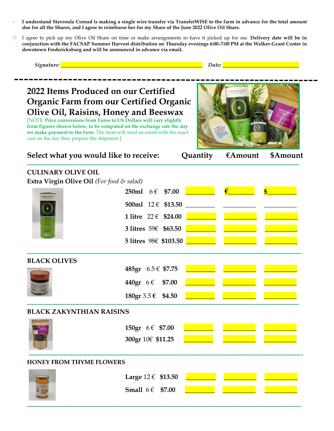- **I understand Stavroula Conrad is making a single wire transfer via TransferWISE to the farm in advance for the total amount due for all the Shares, and I agree to reimburse her for my Share of the June 2022 Olive Oil Share.**
- I agree to pick up my Olive Oil Share on time or make arrangements to have it picked up for me. **Delivery date will be in conjunction with the FACSAP Summer Harvest distribution on Thursday evenings 6:00–7:00 PM at the Walker-Grant Center in downtown Fredericksburg and will be announced in advance via email.**

*Signature: \_\_\_\_\_\_\_\_\_\_\_\_\_\_\_\_\_\_\_\_\_\_\_\_\_\_\_\_\_\_\_\_\_\_\_\_\_\_\_\_\_\_\_\_\_\_\_\_\_\_\_\_ Date: \_\_\_\_\_\_\_\_\_\_\_\_\_\_\_\_\_\_\_\_\_\_\_\_\_\_\_\_*

## **2022 Items Produced on our Certified Organic Farm from our Certified Organic Olive Oil, Raisins, Honey and Beeswax**

[NOTE: **Price conversions from Euros to US Dollars will vary slightly from figures shown below, to be computed on the exchange rate the day we make payment to the farm**. The farm will send an email with the exact cost on the day they prepare the shipment.]



| Select what you would like to receive:    |                         |        | Quantity $\epsilon$ Amount | \$Amount |
|-------------------------------------------|-------------------------|--------|----------------------------|----------|
| <b>CULINARY OLIVE OIL</b>                 |                         |        |                            |          |
| Extra Virgin Olive Oil (For food & salad) |                         |        |                            |          |
|                                           | 250ml $6 \in $7.00$     |        |                            |          |
|                                           | 500ml 12 € \$13.50      |        |                            |          |
|                                           | 1 litre $22 \in $24.00$ |        |                            |          |
|                                           | 3 litres 59€ \$63.50    |        |                            |          |
|                                           | 5 litres 98€ \$103.50   |        |                            |          |
| <b>BLACK OLIVES</b>                       |                         |        |                            |          |
|                                           | 485gr 6.5 € \$7.75      |        |                            |          |
|                                           | 440gr 6 € \$7.00        |        |                            |          |
|                                           | 180gr 3.5 € \$4.50      |        |                            |          |
| <b>BLACK ZAKYNTHIAN RAISINS</b>           |                         |        |                            |          |
|                                           | 150gr $6 \in $7.00$     |        |                            |          |
|                                           | 300gr 10€ \$11.25       |        |                            |          |
| <b>HONEY FROM THYME FLOWERS</b>           |                         |        |                            |          |
|                                           |                         |        |                            |          |
|                                           | Large $12 \in$ \$13.50  |        |                            |          |
|                                           | Small $6 \in$           | \$7.00 |                            |          |

**------------------------------------------------------------------------------------------------------------------------------**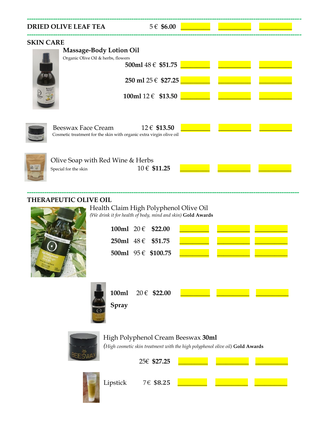|                  | <b>DRIED OLIVE LEAF TEA</b>                              | $5 \in $6.00$                                                                       |  |  |
|------------------|----------------------------------------------------------|-------------------------------------------------------------------------------------|--|--|
| <b>SKIN CARE</b> |                                                          |                                                                                     |  |  |
|                  | <b>Massage-Body Lotion Oil</b>                           |                                                                                     |  |  |
|                  | Organic Olive Oil & herbs, flowers                       | 500ml 48 € \$51.75                                                                  |  |  |
|                  |                                                          | 250 ml $25 \in $27.25$                                                              |  |  |
|                  |                                                          | 100ml $12 \in $13.50$                                                               |  |  |
|                  | <b>Beeswax Face Cream</b>                                | 12 € \$13.50<br>Cosmetic treatment for the skin with organic extra virgin olive oil |  |  |
| 87               | Olive Soap with Red Wine & Herbs<br>Special for the skin | 10 € \$11.25                                                                        |  |  |

#### **THERAPEUTIC OLIVE OIL**



| Health Claim High Polyphenol Olive Oil                             |
|--------------------------------------------------------------------|
| (We drink it for health of body, mind and skin) <b>Gold Awards</b> |

**-----------------------------------------------------------------------------------------------------------------------------**

| 100ml $20 \in$ \$22.00  |  |
|-------------------------|--|
| 250ml $48 \in$ \$51.75  |  |
| 500ml $95 \in$ \$100.75 |  |



|              | 100ml $20 \in $22.00$ |  |  |
|--------------|-----------------------|--|--|
| <b>Spray</b> |                       |  |  |

### High Polyphenol Cream Beeswax **30ml**

*(High cosmetic skin treatment with the high polyphenol olive oil)* **Gold Awards**

25€ **\$27.25** \_\_\_\_\_\_\_\_\_ \_\_\_\_\_\_\_\_\_\_ \_\_\_\_\_\_\_\_\_\_